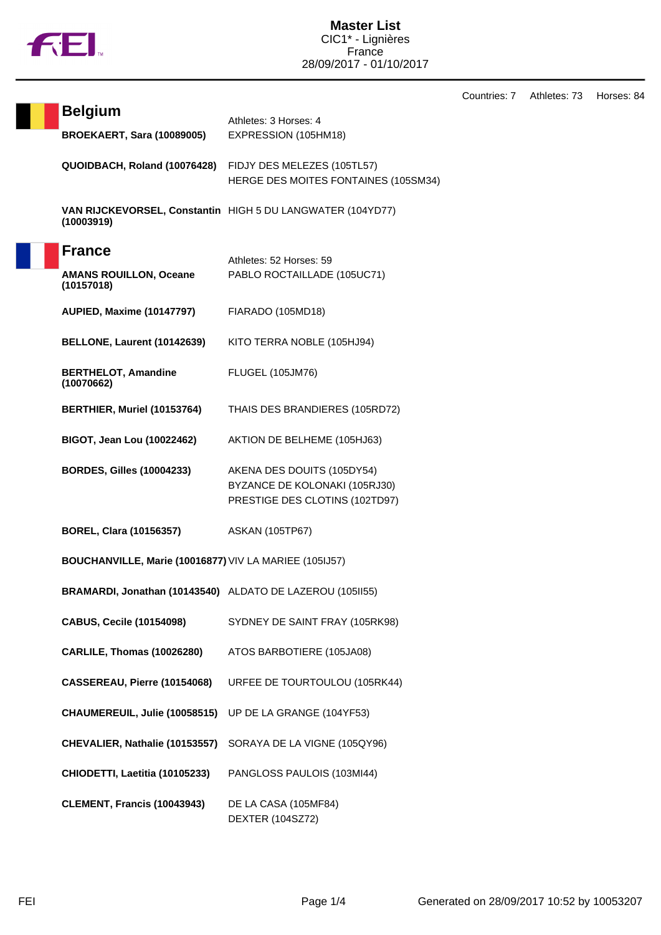

Countries: 7 Athletes: 73 Horses: 84

| <b>Belgium</b>                                            | Athletes: 3 Horses: 4                                                                         |  |
|-----------------------------------------------------------|-----------------------------------------------------------------------------------------------|--|
| <b>BROEKAERT, Sara (10089005)</b>                         | EXPRESSION (105HM18)                                                                          |  |
| QUOIDBACH, Roland (10076428)                              | FIDJY DES MELEZES (105TL57)<br>HERGE DES MOITES FONTAINES (105SM34)                           |  |
| (10003919)                                                | VAN RIJCKEVORSEL, Constantin HIGH 5 DU LANGWATER (104YD77)                                    |  |
| <b>France</b>                                             | Athletes: 52 Horses: 59                                                                       |  |
| <b>AMANS ROUILLON, Oceane</b><br>(10157018)               | PABLO ROCTAILLADE (105UC71)                                                                   |  |
| <b>AUPIED, Maxime (10147797)</b>                          | FIARADO (105MD18)                                                                             |  |
| BELLONE, Laurent (10142639)                               | KITO TERRA NOBLE (105HJ94)                                                                    |  |
| <b>BERTHELOT, Amandine</b><br>(10070662)                  | <b>FLUGEL (105JM76)</b>                                                                       |  |
| BERTHIER, Muriel (10153764)                               | THAIS DES BRANDIERES (105RD72)                                                                |  |
| <b>BIGOT, Jean Lou (10022462)</b>                         | AKTION DE BELHEME (105HJ63)                                                                   |  |
| <b>BORDES, Gilles (10004233)</b>                          | AKENA DES DOUITS (105DY54)<br>BYZANCE DE KOLONAKI (105RJ30)<br>PRESTIGE DES CLOTINS (102TD97) |  |
| <b>BOREL, Clara (10156357)</b>                            | <b>ASKAN (105TP67)</b>                                                                        |  |
| BOUCHANVILLE, Marie (10016877) VIV LA MARIEE (105IJ57)    |                                                                                               |  |
| BRAMARDI, Jonathan (10143540) ALDATO DE LAZEROU (105II55) |                                                                                               |  |
| <b>CABUS, Cecile (10154098)</b>                           | SYDNEY DE SAINT FRAY (105RK98)                                                                |  |
| CARLILE, Thomas (10026280)                                | ATOS BARBOTIERE (105JA08)                                                                     |  |
| CASSEREAU, Pierre (10154068)                              | URFEE DE TOURTOULOU (105RK44)                                                                 |  |
| CHAUMEREUIL, Julie (10058515)                             | UP DE LA GRANGE (104YF53)                                                                     |  |
| CHEVALIER, Nathalie (10153557)                            | SORAYA DE LA VIGNE (105QY96)                                                                  |  |
| CHIODETTI, Laetitia (10105233)                            | PANGLOSS PAULOIS (103MI44)                                                                    |  |
| <b>CLEMENT, Francis (10043943)</b>                        | DE LA CASA (105MF84)<br><b>DEXTER (104SZ72)</b>                                               |  |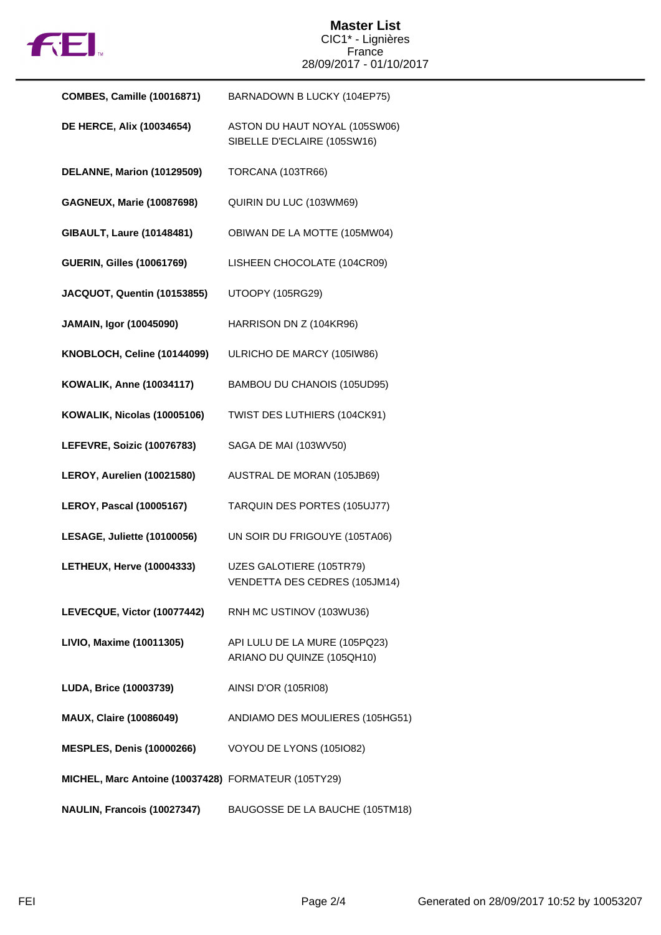

## **Master List** CIC1\* - Lignières France 28/09/2017 - 01/10/2017

| <b>COMBES, Camille (10016871)</b>                   | BARNADOWN B LUCKY (104EP75)                                  |
|-----------------------------------------------------|--------------------------------------------------------------|
| <b>DE HERCE, Alix (10034654)</b>                    | ASTON DU HAUT NOYAL (105SW06)<br>SIBELLE D'ECLAIRE (105SW16) |
| DELANNE, Marion (10129509)                          | TORCANA (103TR66)                                            |
| <b>GAGNEUX, Marie (10087698)</b>                    | QUIRIN DU LUC (103WM69)                                      |
| <b>GIBAULT, Laure (10148481)</b>                    | OBIWAN DE LA MOTTE (105MW04)                                 |
| <b>GUERIN, Gilles (10061769)</b>                    | LISHEEN CHOCOLATE (104CR09)                                  |
| JACQUOT, Quentin (10153855)                         | UTOOPY (105RG29)                                             |
| JAMAIN, Igor (10045090)                             | HARRISON DN Z (104KR96)                                      |
| KNOBLOCH, Celine (10144099)                         | ULRICHO DE MARCY (105IW86)                                   |
| <b>KOWALIK, Anne (10034117)</b>                     | BAMBOU DU CHANOIS (105UD95)                                  |
| KOWALIK, Nicolas (10005106)                         | TWIST DES LUTHIERS (104CK91)                                 |
| LEFEVRE, Soizic (10076783)                          | SAGA DE MAI (103WV50)                                        |
| LEROY, Aurelien (10021580)                          | AUSTRAL DE MORAN (105JB69)                                   |
| <b>LEROY, Pascal (10005167)</b>                     | TARQUIN DES PORTES (105UJ77)                                 |
| LESAGE, Juliette (10100056)                         | UN SOIR DU FRIGOUYE (105TA06)                                |
| <b>LETHEUX, Herve (10004333)</b>                    | UZES GALOTIERE (105TR79)<br>VENDETTA DES CEDRES (105JM14)    |
| LEVECQUE, Victor (10077442)                         | RNH MC USTINOV (103WU36)                                     |
| LIVIO, Maxime (10011305)                            | API LULU DE LA MURE (105PQ23)<br>ARIANO DU QUINZE (105QH10)  |
| LUDA, Brice (10003739)                              | AINSI D'OR (105RI08)                                         |
| <b>MAUX, Claire (10086049)</b>                      | ANDIAMO DES MOULIERES (105HG51)                              |
| <b>MESPLES, Denis (10000266)</b>                    | VOYOU DE LYONS (105IO82)                                     |
| MICHEL, Marc Antoine (10037428) FORMATEUR (105TY29) |                                                              |
| NAULIN, Francois (10027347)                         | BAUGOSSE DE LA BAUCHE (105TM18)                              |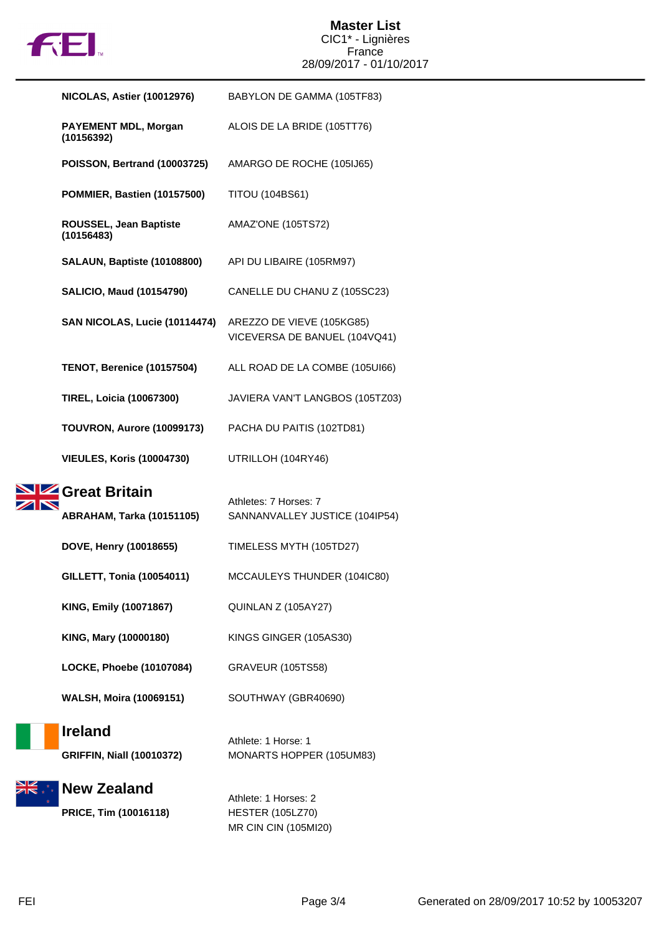

## **Master List** CIC1\* - Lignières France 28/09/2017 - 01/10/2017

| <b>NICOLAS, Astier (10012976)</b>                  | BABYLON DE GAMMA (105TF83)                                 |
|----------------------------------------------------|------------------------------------------------------------|
| <b>PAYEMENT MDL, Morgan</b><br>(10156392)          | ALOIS DE LA BRIDE (105TT76)                                |
| POISSON, Bertrand (10003725)                       | AMARGO DE ROCHE (105IJ65)                                  |
| POMMIER, Bastien (10157500)                        | <b>TITOU (104BS61)</b>                                     |
| ROUSSEL, Jean Baptiste<br>(10156483)               | AMAZ'ONE (105TS72)                                         |
| SALAUN, Baptiste (10108800)                        | API DU LIBAIRE (105RM97)                                   |
| <b>SALICIO, Maud (10154790)</b>                    | CANELLE DU CHANU Z (105SC23)                               |
| SAN NICOLAS, Lucie (10114474)                      | AREZZO DE VIEVE (105KG85)<br>VICEVERSA DE BANUEL (104VQ41) |
| <b>TENOT, Berenice (10157504)</b>                  | ALL ROAD DE LA COMBE (105UI66)                             |
| <b>TIREL, Loicia (10067300)</b>                    | JAVIERA VAN'T LANGBOS (105TZ03)                            |
| TOUVRON, Aurore (10099173)                         | PACHA DU PAITIS (102TD81)                                  |
| <b>VIEULES, Koris (10004730)</b>                   | UTRILLOH (104RY46)                                         |
|                                                    |                                                            |
| Great Britain<br><b>ABRAHAM, Tarka (10151105)</b>  | Athletes: 7 Horses: 7<br>SANNANVALLEY JUSTICE (104IP54)    |
| DOVE, Henry (10018655)                             | TIMELESS MYTH (105TD27)                                    |
| <b>GILLETT, Tonia (10054011)</b>                   | MCCAULEYS THUNDER (104IC80)                                |
| KING, Emily (10071867)                             | QUINLAN Z (105AY27)                                        |
| KING, Mary (10000180)                              | KINGS GINGER (105AS30)                                     |
| LOCKE, Phoebe (10107084)                           | <b>GRAVEUR (105TS58)</b>                                   |
| <b>WALSH, Moira (10069151)</b>                     | SOUTHWAY (GBR40690)                                        |
| <b>Ireland</b><br><b>GRIFFIN, Niall (10010372)</b> | Athlete: 1 Horse: 1<br>MONARTS HOPPER (105UM83)            |

MR CIN CIN (105MI20)